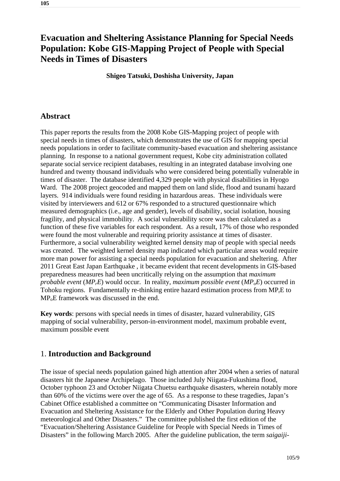# **Evacuation and Sheltering Assistance Planning for Special Needs Population: Kobe GIS-Mapping Project of People with Special Needs in Times of Disasters**

**Shigeo Tatsuki, Doshisha University, Japan**

### **Abstract**

This paper reports the results from the 2008 Kobe GIS-Mapping project of people with special needs in times of disasters, which demonstrates the use of GIS for mapping special needs populations in order to facilitate community-based evacuation and sheltering assistance planning. In response to a national government request, Kobe city administration collated separate social service recipient databases, resulting in an integrated database involving one hundred and twenty thousand individuals who were considered being potentially vulnerable in times of disaster. The database identified 4,329 people with physical disabilities in Hyogo Ward. The 2008 project geocoded and mapped them on land slide, flood and tsunami hazard layers. 914 individuals were found residing in hazardous areas. These individuals were visited by interviewers and 612 or 67% responded to a structured questionnaire which measured demographics (i.e., age and gender), levels of disability, social isolation, housing fragility, and physical immobility. A social vulnerability score was then calculated as a function of these five variables for each respondent. As a result, 17% of those who responded were found the most vulnerable and requiring priority assistance at times of disaster. Furthermore, a social vulnerability weighted kernel density map of people with special needs was created. The weighted kernel density map indicated which particular areas would require more man power for assisting a special needs population for evacuation and sheltering. After 2011 Great East Japan Earthquake , it became evident that recent developments in GIS-based preparedness measures had been uncritically relying on the assumption that *maximum probable event* (*MP<sub>r</sub>E*) would occur. In reality, *maximum possible event* (*MP<sub>o</sub>E*) occurred in Tohoku regions. Fundamentally re-thinking entire hazard estimation process from  $MP<sub>r</sub>E$  to MP<sub>o</sub>E framework was discussed in the end.

**Key words**: persons with special needs in times of disaster, hazard vulnerability, GIS mapping of social vulnerability, person-in-environment model, maximum probable event, maximum possible event

#### 1. **Introduction and Background**

The issue of special needs population gained high attention after 2004 when a series of natural disasters hit the Japanese Archipelago. Those included July Niigata-Fukushima flood, October typhoon 23 and October Niigata Chuetsu earthquake disasters, wherein notably more than 60% of the victims were over the age of 65. As a response to these tragedies, Japan's Cabinet Office established a committee on "Communicating Disaster Information and Evacuation and Sheltering Assistance for the Elderly and Other Population during Heavy meteorological and Other Disasters." The committee published the first edition of the "Evacuation/Sheltering Assistance Guideline for People with Special Needs in Times of Disasters" in the following March 2005. After the guideline publication, the term *saigaiji-*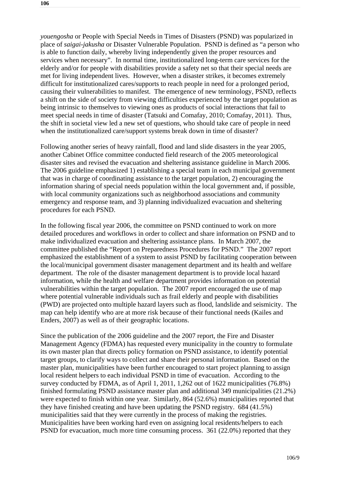*youengosha* or People with Special Needs in Times of Disasters (PSND) was popularized in place of *saigai-jakusha* or Disaster Vulnerable Population. PSND is defined as "a person who is able to function daily, whereby living independently given the proper resources and services when necessary". In normal time, institutionalized long-term care services for the elderly and/or for people with disabilities provide a safety net so that their special needs are met for living independent lives. However, when a disaster strikes, it becomes extremely difficult for institutionalized cares/supports to reach people in need for a prolonged period, causing their vulnerabilities to manifest. The emergence of new terminology, PSND, reflects a shift on the side of society from viewing difficulties experienced by the target population as being intrinsic to themselves to viewing ones as products of social interactions that fail to meet special needs in time of disaster (Tatsuki and Comafay, 2010; Comafay, 2011). Thus, the shift in societal view led a new set of questions, who should take care of people in need when the institutionalized care/support systems break down in time of disaster?

Following another series of heavy rainfall, flood and land slide disasters in the year 2005, another Cabinet Office committee conducted field research of the 2005 meteorological disaster sites and revised the evacuation and sheltering assistance guideline in March 2006. The 2006 guideline emphasized 1) establishing a special team in each municipal government that was in charge of coordinating assistance to the target population, 2) encouraging the information sharing of special needs population within the local government and, if possible, with local community organizations such as neighborhood associations and community emergency and response team, and 3) planning individualized evacuation and sheltering procedures for each PSND.

In the following fiscal year 2006, the committee on PSND continued to work on more detailed procedures and workflows in order to collect and share information on PSND and to make individualized evacuation and sheltering assistance plans. In March 2007, the committee published the "Report on Preparedness Procedures for PSND." The 2007 report emphasized the establishment of a system to assist PSND by facilitating cooperation between the local/municipal government disaster management department and its health and welfare department. The role of the disaster management department is to provide local hazard information, while the health and welfare department provides information on potential vulnerabilities within the target population. The 2007 report encouraged the use of map where potential vulnerable individuals such as frail elderly and people with disabilities (PWD) are projected onto multiple hazard layers such as flood, landslide and seismicity. The map can help identify who are at more risk because of their functional needs (Kailes and Enders, 2007) as well as of their geographic locations.

Since the publication of the 2006 guideline and the 2007 report, the Fire and Disaster Management Agency (FDMA) has requested every municipality in the country to formulate its own master plan that directs policy formation on PSND assistance, to identify potential target groups, to clarify ways to collect and share their personal information. Based on the master plan, municipalities have been further encouraged to start project planning to assign local resident helpers to each individual PSND in time of evacuation. According to the survey conducted by FDMA, as of April 1, 2011, 1,262 out of 1622 municipalities (76.8%) finished formulating PSND assistance master plan and additional 349 municipalities (21.2%) were expected to finish within one year. Similarly, 864 (52.6%) municipalities reported that they have finished creating and have been updating the PSND registry. 684 (41.5%) municipalities said that they were currently in the process of making the registries. Municipalities have been working hard even on assigning local residents/helpers to each PSND for evacuation, much more time consuming process. 361 (22.0%) reported that they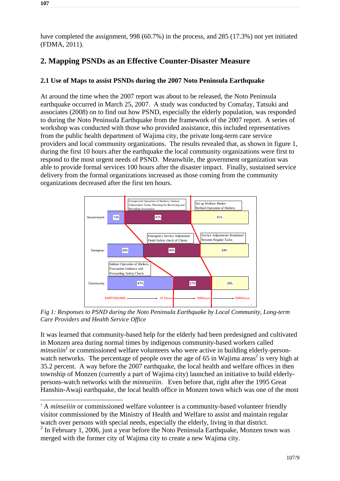have completed the assignment, 998 (60.7%) in the process, and 285 (17.3%) not yet initiated (FDMA, 2011).

## **2. Mapping PSNDs as an Effective Counter-Disaster Measure**

#### **2.1 Use of Maps to assist PSNDs during the 2007 Noto Peninsula Earthquake**

At around the time when the 2007 report was about to be released, the Noto Peninsula earthquake occurred in March 25, 2007. A study was conducted by Comafay, Tatsuki and associates (2008) on to find out how PSND, especially the elderly population, was responded to during the Noto Peninsula Earthquake from the framework of the 2007 report. A series of workshop was conducted with those who provided assistance, this included representatives from the public health department of Wajima city, the private long-term care service providers and local community organizations. The results revealed that, as shown in figure 1, during the first 10 hours after the earthquake the local community organizations were first to respond to the most urgent needs of PSND. Meanwhile, the government organization was able to provide formal services 100 hours after the disaster impact. Finally, sustained service delivery from the formal organizations increased as those coming from the community organizations decreased after the first ten hours.



*Fig 1: Responses to PSND during the Noto Peninsula Earthquake by Local Community, Long-term Care Providers and Health Service Office* 

It was learned that community-based help for the elderly had been predesigned and cultivated in Monzen area during normal times by indigenous community-based workers called *minseiiin*<sup>1</sup> or commissioned welfare volunteers who were active in building elderly-personwatch networks. The percentage of people over the age of 65 in Wajima areas<sup>2</sup> is very high at 35.2 percent. A way before the 2007 earthquake, the local health and welfare offices in then township of Monzen (currently a part of Wajima city) launched an initiative to build elderlypersons-watch networks with the *minnseiiin*. Even before that, right after the 1995 Great Hanshin-Awaji earthquake, the local health office in Monzen town which was one of the most

1

<sup>&</sup>lt;sup>1</sup> A *minseiiin* or commissioned welfare volunteer is a community-based volunteer friendly visitor commissioned by the Ministry of Health and Welfare to assist and maintain regular watch over persons with special needs, especially the elderly, living in that district.

 $2 \text{ In February 1, 2006, just a year before the Noto Peninsula Earthquake, Monzen town was}$ merged with the former city of Wajima city to create a new Wajima city.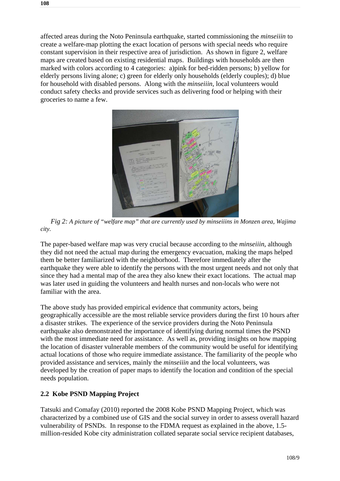affected areas during the Noto Peninsula earthquake, started commissioning the *minseiiin* to create a welfare-map plotting the exact location of persons with special needs who require constant supervision in their respective area of jurisdiction. As shown in figure 2, welfare maps are created based on existing residential maps. Buildings with households are then marked with colors according to 4 categories: a)pink for bed-ridden persons; b) yellow for elderly persons living alone; c) green for elderly only households (elderly couples); d) blue for household with disabled persons. Along with the *minseiiin*, local volunteers would conduct safety checks and provide services such as delivering food or helping with their groceries to name a few.



*Fig 2: A picture of "welfare map" that are currently used by minseiiins in Monzen area, Wajima city.* 

The paper-based welfare map was very crucial because according to the *minseiiin*, although they did not need the actual map during the emergency evacuation, making the maps helped them be better familiarized with the neighborhood. Therefore immediately after the earthquake they were able to identify the persons with the most urgent needs and not only that since they had a mental map of the area they also knew their exact locations. The actual map was later used in guiding the volunteers and health nurses and non-locals who were not familiar with the area.

The above study has provided empirical evidence that community actors, being geographically accessible are the most reliable service providers during the first 10 hours after a disaster strikes. The experience of the service providers during the Noto Peninsula earthquake also demonstrated the importance of identifying during normal times the PSND with the most immediate need for assistance. As well as, providing insights on how mapping the location of disaster vulnerable members of the community would be useful for identifying actual locations of those who require immediate assistance. The familiarity of the people who provided assistance and services, mainly the *minseiiin* and the local volunteers, was developed by the creation of paper maps to identify the location and condition of the special needs population.

#### **2.2 Kobe PSND Mapping Project**

Tatsuki and Comafay (2010) reported the 2008 Kobe PSND Mapping Project, which was characterized by a combined use of GIS and the social survey in order to assess overall hazard vulnerability of PSNDs. In response to the FDMA request as explained in the above, 1.5 million-resided Kobe city administration collated separate social service recipient databases,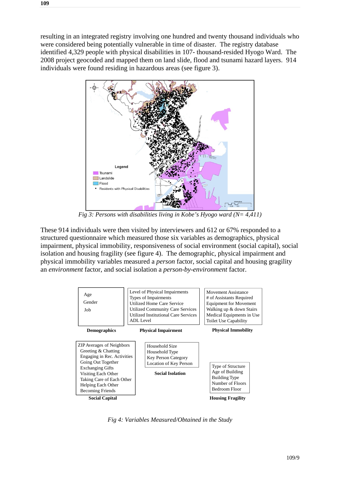resulting in an integrated registry involving one hundred and twenty thousand individuals who were considered being potentially vulnerable in time of disaster. The registry database identified 4,329 people with physical disabilities in 107- thousand-resided Hyogo Ward. The 2008 project geocoded and mapped them on land slide, flood and tsunami hazard layers. 914 individuals were found residing in hazardous areas (see figure 3).



*Fig 3: Persons with disabilities living in Kobe's Hyogo ward (N= 4,411)* 

These 914 individuals were then visited by interviewers and 612 or 67% responded to a structured questionnaire which measured those six variables as demographics, physical impairment, physical immobility, responsiveness of social environment (social capital), social isolation and housing fragility (see figure 4). The demographic, physical impairment and physical immobility variables measured a *person* factor, social capital and housing gragility an *environment* factor, and social isolation a *person-by-environment* factor.



*Fig 4: Variables Measured/Obtained in the Study*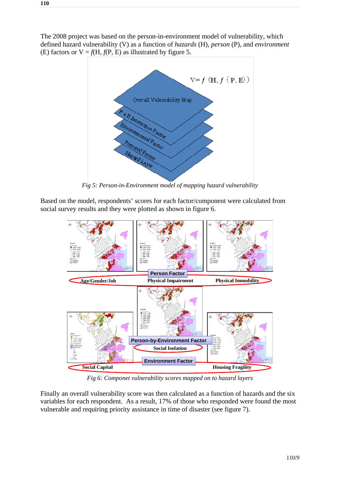The 2008 project was based on the person-in-environment model of vulnerability, which defined hazard vulnerability (V) as a function of *hazards* (H), *person* (P), and *environment* (E) factors or  $V = f(H, f(P, E))$  as illustrated by figure 5.



*Fig 5: Person-in-Environment model of mapping hazard vulnerability* 

Based on the model, respondents' scores for each factor/component were calculated from social survey results and they were plotted as shown in figure 6.



*Fig 6: Componet vulnerability scores mapped on to hazard layers* 

Finally an overall vulnerability score was then calculated as a function of hazards and the six variables for each respondent. As a result, 17% of those who responded were found the most vulnerable and requiring priority assistance in time of disaster (see figure 7).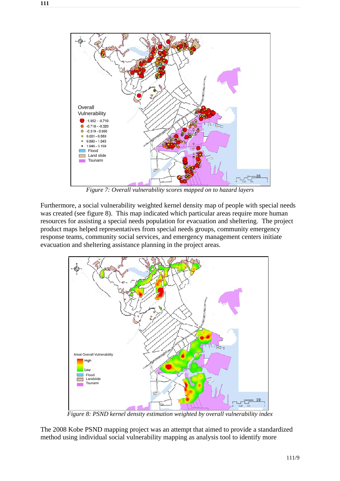

*Figure 7: Overall vulnerability scores mapped on to hazard layers* 

Furthermore, a social vulnerability weighted kernel density map of people with special needs was created (see figure 8). This map indicated which particular areas require more human resources for assisting a special needs population for evacuation and sheltering. The project product maps helped representatives from special needs groups, community emergency response teams, community social services, and emergency management centers initiate evacuation and sheltering assistance planning in the project areas.



*Figure 8: PSND kernel density estimation weighted by overall vulnerability index* 

The 2008 Kobe PSND mapping project was an attempt that aimed to provide a standardized method using individual social vulnerability mapping as analysis tool to identify more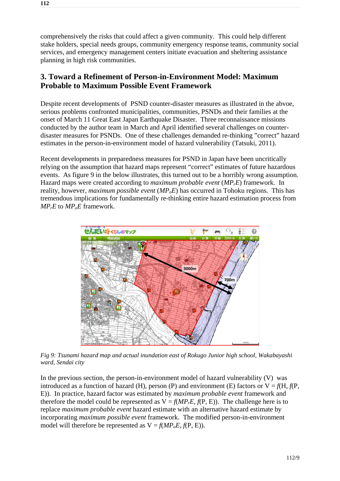comprehensively the risks that could affect a given community. This could help different stake holders, special needs groups, community emergency response teams, community social services, and emergency management centers initiate evacuation and sheltering assistance planning in high risk communities.

### **3. Toward a Refinement of Person-in-Environment Model: Maximum Probable to Maximum Possible Event Framework**

Despite recent developments of PSND counter-disaster measures as illustrated in the abvoe, serious problems confronted municipalities, communities, PSNDs and their families at the onset of March 11 Great East Japan Earthquake Disaster. Three reconnaissance missions conducted by the author team in March and April identified several challenges on counterdisaster measures for PSNDs. One of these challenges demanded re-thinking "correct" hazard estimates in the person-in-environment model of hazard vulnerability (Tatsuki, 2011).

Recent developments in preparedness measures for PSND in Japan have been uncritically relying on the assumption that hazard maps represent "correct" estimates of future hazardous events. As figure 9 in the below illustrates, this turned out to be a horribly wrong assumption. Hazard maps were created according to *maximum probable event* (*MPrE*) framework. In reality, however, *maximum possible event* ( $MP<sub>o</sub>E$ ) has occurred in Tohoku regions. This has tremendous implications for fundamentally re-thinking entire hazard estimation process from  $MP<sub>r</sub>E$  to  $MP<sub>o</sub>E$  framework.



*Fig 9: Tsunami hazard map and actual inundation east of Rokugo Junior high school, Wakabayashi ward, Sendai city* 

In the previous section, the person-in-environment model of hazard vulnerability (V) was introduced as a function of hazard (H), person (P) and environment (E) factors or  $V = f(H, f(P,$ E)). In practice, hazard factor was estimated by *maximum probable event* framework and therefore the model could be represented as  $V = f(MP<sub>r</sub>E, f(P, E))$ . The challenge here is to replace *maximum probable event* hazard estimate with an alternative hazard estimate by incorporating *maximum possible event* framework. The modified person-in-environment model will therefore be represented as  $V = f(MP_0E, f(P, E))$ .